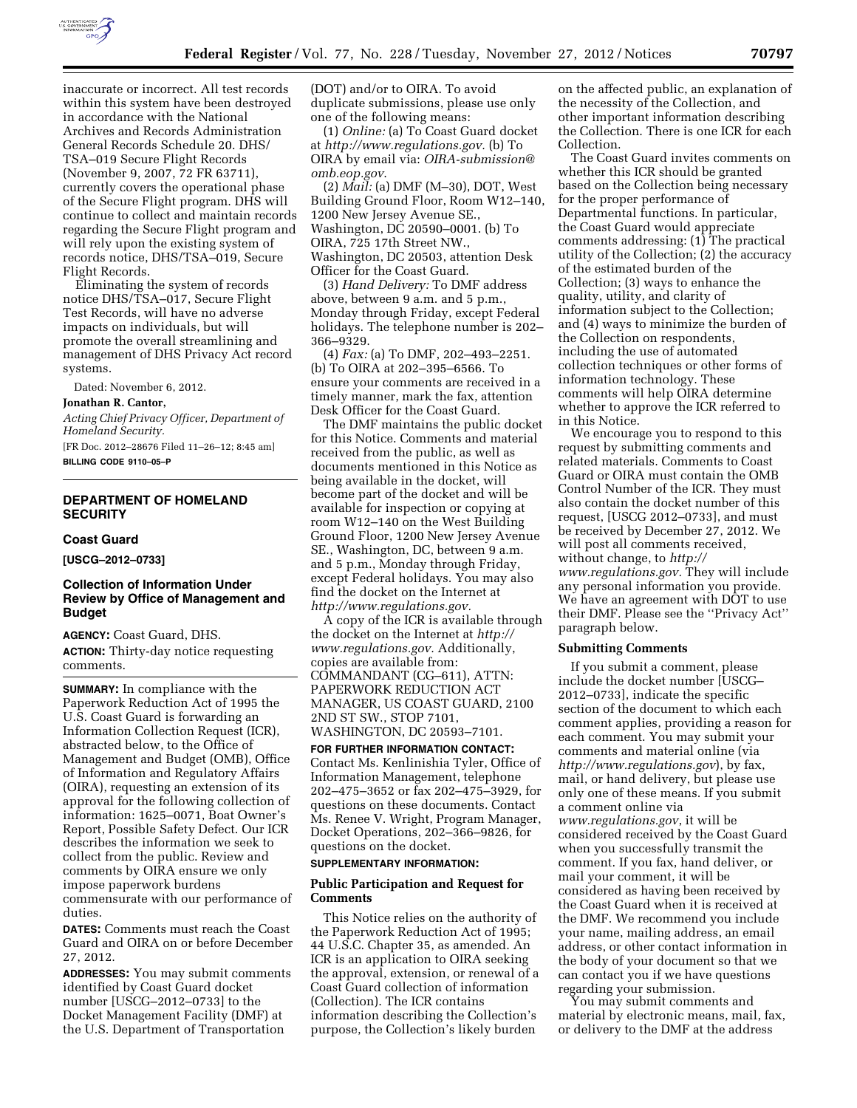

inaccurate or incorrect. All test records within this system have been destroyed in accordance with the National Archives and Records Administration General Records Schedule 20. DHS/ TSA–019 Secure Flight Records (November 9, 2007, 72 FR 63711), currently covers the operational phase of the Secure Flight program. DHS will continue to collect and maintain records regarding the Secure Flight program and will rely upon the existing system of records notice, DHS/TSA–019, Secure Flight Records.

Eliminating the system of records notice DHS/TSA–017, Secure Flight Test Records, will have no adverse impacts on individuals, but will promote the overall streamlining and management of DHS Privacy Act record systems.

Dated: November 6, 2012.

### **Jonathan R. Cantor,**

*Acting Chief Privacy Officer, Department of Homeland Security.* 

[FR Doc. 2012–28676 Filed 11–26–12; 8:45 am] **BILLING CODE 9110–05–P** 

## **DEPARTMENT OF HOMELAND SECURITY**

### **Coast Guard**

**[USCG–2012–0733]** 

## **Collection of Information Under Review by Office of Management and Budget**

**AGENCY:** Coast Guard, DHS.

**ACTION:** Thirty-day notice requesting comments.

**SUMMARY:** In compliance with the Paperwork Reduction Act of 1995 the U.S. Coast Guard is forwarding an Information Collection Request (ICR), abstracted below, to the Office of Management and Budget (OMB), Office of Information and Regulatory Affairs (OIRA), requesting an extension of its approval for the following collection of information: 1625–0071, Boat Owner's Report, Possible Safety Defect. Our ICR describes the information we seek to collect from the public. Review and comments by OIRA ensure we only impose paperwork burdens commensurate with our performance of duties.

**DATES:** Comments must reach the Coast Guard and OIRA on or before December 27, 2012.

**ADDRESSES:** You may submit comments identified by Coast Guard docket number [USCG–2012–0733] to the Docket Management Facility (DMF) at the U.S. Department of Transportation

(DOT) and/or to OIRA. To avoid duplicate submissions, please use only one of the following means:

(1) *Online:* (a) To Coast Guard docket at *[http://www.regulations.gov.](http://www.regulations.gov)* (b) To OIRA by email via: *[OIRA-submission@](mailto:OIRA-submission@omb.eop.gov) [omb.eop.gov](mailto:OIRA-submission@omb.eop.gov)*.

(2) *Mail:* (a) DMF (M–30), DOT, West Building Ground Floor, Room W12–140, 1200 New Jersey Avenue SE., Washington, DC 20590–0001. (b) To OIRA, 725 17th Street NW., Washington, DC 20503, attention Desk Officer for the Coast Guard.

(3) *Hand Delivery:* To DMF address above, between 9 a.m. and 5 p.m., Monday through Friday, except Federal holidays. The telephone number is 202– 366–9329.

(4) *Fax:* (a) To DMF, 202–493–2251. (b) To OIRA at 202–395–6566. To ensure your comments are received in a timely manner, mark the fax, attention Desk Officer for the Coast Guard.

The DMF maintains the public docket for this Notice. Comments and material received from the public, as well as documents mentioned in this Notice as being available in the docket, will become part of the docket and will be available for inspection or copying at room W12–140 on the West Building Ground Floor, 1200 New Jersey Avenue SE., Washington, DC, between 9 a.m. and 5 p.m., Monday through Friday, except Federal holidays. You may also find the docket on the Internet at *[http://www.regulations.gov.](http://www.regulations.gov)* 

A copy of the ICR is available through the docket on the Internet at *[http://](http://www.regulations.gov) [www.regulations.gov.](http://www.regulations.gov)* Additionally, copies are available from: COMMANDANT (CG–611), ATTN: PAPERWORK REDUCTION ACT MANAGER, US COAST GUARD, 2100 2ND ST SW., STOP 7101, WASHINGTON, DC 20593–7101.

**FOR FURTHER INFORMATION CONTACT:**  Contact Ms. Kenlinishia Tyler, Office of Information Management, telephone 202–475–3652 or fax 202–475–3929, for questions on these documents. Contact Ms. Renee V. Wright, Program Manager, Docket Operations, 202–366–9826, for questions on the docket.

### **SUPPLEMENTARY INFORMATION:**

#### **Public Participation and Request for Comments**

This Notice relies on the authority of the Paperwork Reduction Act of 1995; 44 U.S.C. Chapter 35, as amended. An ICR is an application to OIRA seeking the approval, extension, or renewal of a Coast Guard collection of information (Collection). The ICR contains information describing the Collection's purpose, the Collection's likely burden

on the affected public, an explanation of the necessity of the Collection, and other important information describing the Collection. There is one ICR for each Collection.

The Coast Guard invites comments on whether this ICR should be granted based on the Collection being necessary for the proper performance of Departmental functions. In particular, the Coast Guard would appreciate comments addressing: (1) The practical utility of the Collection; (2) the accuracy of the estimated burden of the Collection; (3) ways to enhance the quality, utility, and clarity of information subject to the Collection; and (4) ways to minimize the burden of the Collection on respondents, including the use of automated collection techniques or other forms of information technology. These comments will help OIRA determine whether to approve the ICR referred to in this Notice.

We encourage you to respond to this request by submitting comments and related materials. Comments to Coast Guard or OIRA must contain the OMB Control Number of the ICR. They must also contain the docket number of this request, [USCG 2012–0733], and must be received by December 27, 2012. We will post all comments received, without change, to *[http://](http://www.regulations.gov)  [www.regulations.gov.](http://www.regulations.gov)* They will include any personal information you provide. We have an agreement with DOT to use their DMF. Please see the ''Privacy Act'' paragraph below.

#### **Submitting Comments**

If you submit a comment, please include the docket number [USCG– 2012–0733], indicate the specific section of the document to which each comment applies, providing a reason for each comment. You may submit your comments and material online (via *<http://www.regulations.gov>*), by fax, mail, or hand delivery, but please use only one of these means. If you submit a comment online via *[www.regulations.gov](http://www.regulations.gov)*, it will be considered received by the Coast Guard when you successfully transmit the comment. If you fax, hand deliver, or mail your comment, it will be considered as having been received by the Coast Guard when it is received at the DMF. We recommend you include your name, mailing address, an email address, or other contact information in the body of your document so that we can contact you if we have questions regarding your submission.

You may submit comments and material by electronic means, mail, fax, or delivery to the DMF at the address